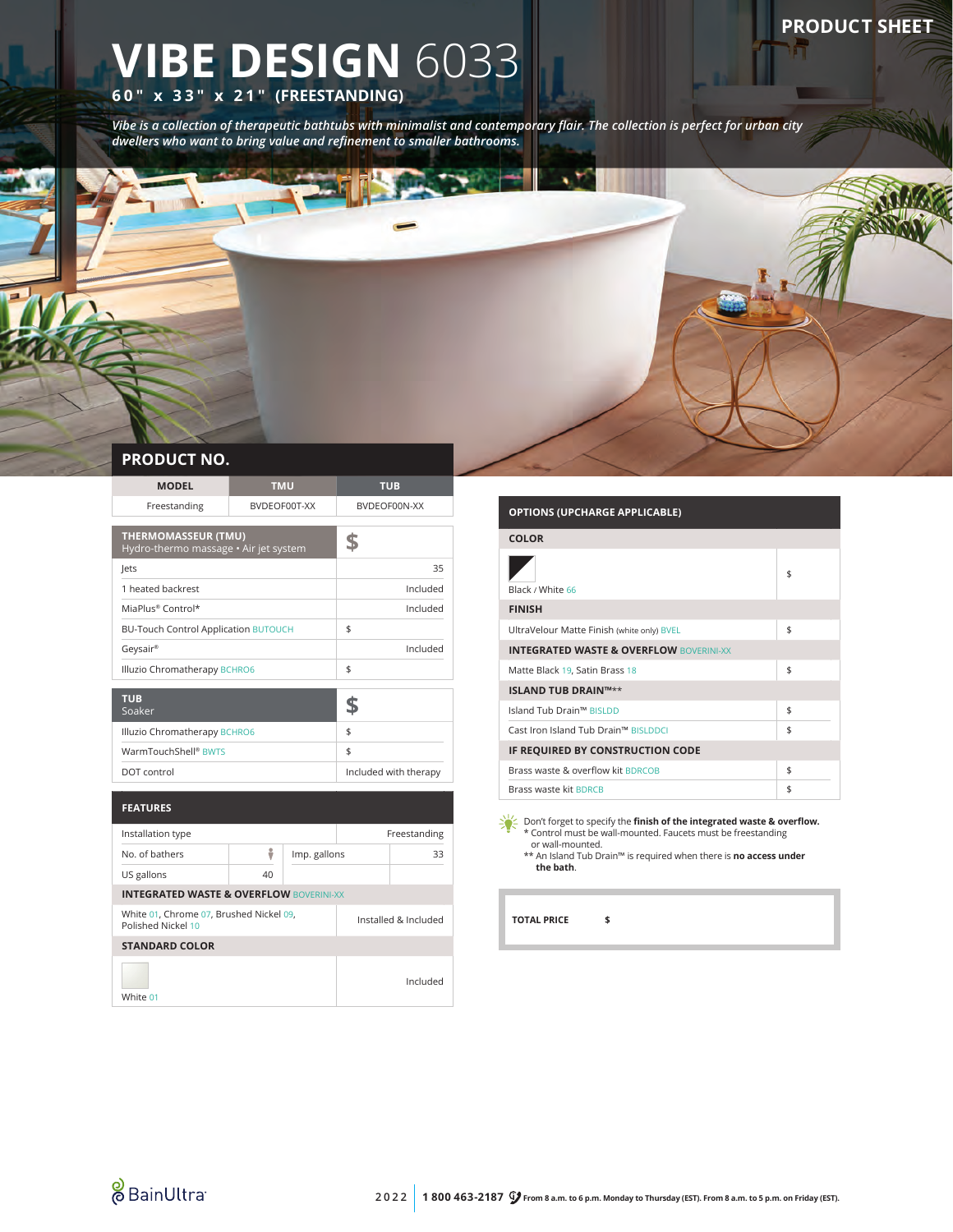## **PRODUCT SHEET**

# **VIBE DESIGN** 6033 **60" x 33" x 21" (FREESTANDING)**

*Vibe is a collection of therapeutic bathtubs with minimalist and contemporary flair. The collection is perfect for urban city dwellers who want to bring value and refinement to smaller bathrooms.*

### **PRODUCT NO.**

| <b>MODEL</b>                                                  | <b>TMU</b>   |                       | <b>TUB</b>   |          |
|---------------------------------------------------------------|--------------|-----------------------|--------------|----------|
| Freestanding                                                  | BVDEOF00T-XX |                       | BVDEOF00N-XX |          |
| <b>THERMOMASSEUR (TMU)</b>                                    |              |                       |              |          |
| Hydro-thermo massage • Air jet system                         |              |                       | \$           |          |
| lets                                                          |              |                       | 35           |          |
| 1 heated backrest                                             |              |                       | Included     |          |
| MiaPlus® Control*                                             |              |                       |              | Included |
| <b>BU-Touch Control Application BUTOUCH</b>                   |              |                       | \$           |          |
| Geysair®                                                      |              | Included              |              |          |
| Illuzio Chromatherapy BCHRO6                                  |              | \$                    |              |          |
|                                                               |              |                       |              |          |
| <b>TUB</b><br>Soaker                                          |              |                       | \$           |          |
| Illuzio Chromatherapy BCHRO6                                  |              | \$                    |              |          |
| WarmTouchShell <sup>®</sup> BWTS                              |              | \$                    |              |          |
| DOT control                                                   |              | Included with therapy |              |          |
|                                                               |              |                       |              |          |
| <b>FEATURES</b>                                               |              |                       |              |          |
| Installation type                                             |              | Freestanding          |              |          |
| No. of bathers                                                | ÷            | Imp. gallons          |              | 33       |
| US gallons                                                    | 40           |                       |              |          |
| <b>INTEGRATED WASTE &amp; OVERFLOW BOVERINI-XX</b>            |              |                       |              |          |
| White 01, Chrome 07, Brushed Nickel 09,<br>Polished Nickel 10 |              | Installed & Included  |              |          |
| <b>STANDARD COLOR</b>                                         |              |                       |              |          |
|                                                               |              |                       |              | Included |

# **OPTIONS (UPCHARGE APPLICABLE)**

| <b>COLOR</b>                                       |    |  |  |
|----------------------------------------------------|----|--|--|
| Black / White 66                                   | \$ |  |  |
| <b>FINISH</b>                                      |    |  |  |
| UltraVelour Matte Finish (white only) BVEL         | \$ |  |  |
| <b>INTEGRATED WASTE &amp; OVERFLOW BOVERINI-XX</b> |    |  |  |
| Matte Black 19, Satin Brass 18                     | \$ |  |  |
| <b>ISLAND TUB DRAIN™**</b>                         |    |  |  |
| Island Tub Drain™ BISLDD                           | \$ |  |  |
| Cast Iron Island Tub Drain™ BISLDDCI               | \$ |  |  |
| IF REQUIRED BY CONSTRUCTION CODE                   |    |  |  |
| Brass waste & overflow kit BDRCOB                  | \$ |  |  |
| Brass waste kit BDRCB                              | \$ |  |  |

Pon't forget to specify the **finish of the integrated waste & overflow.** \* Control must be wall-mounted. Faucets must be freestanding or wall-mounted.

\*\* An Island Tub Drain™ is required when there is **no access under the bath**.

**TOTAL PRICE \$**



White 01